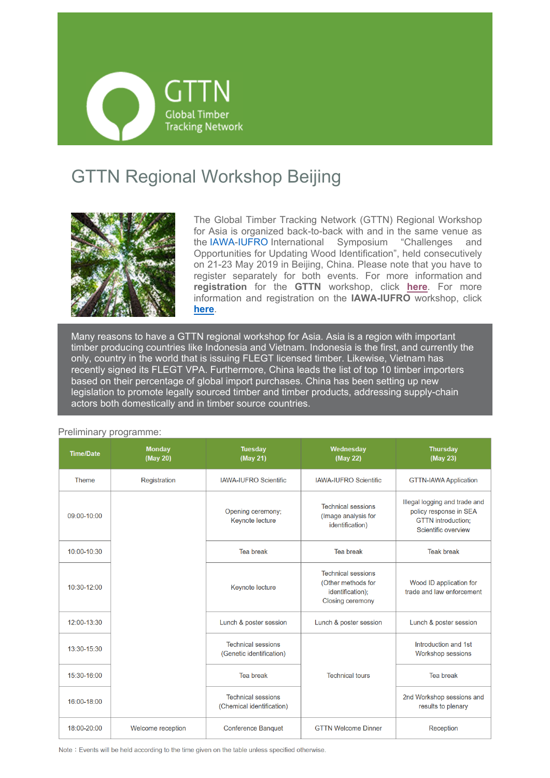

## GTTN Regional Workshop Beijing



The Global Timber Tracking Network (GTTN) Regional Workshop for Asia is organized back-to-back with and in the same venue as the IAWA-IUFRO International Symposium "Challenges and Opportunities for Updating Wood Identification", held consecutively on 21-23 May 2019 in Beijing, China. Please note that you have to register separately for both events. For more information and **registration** for the **GTTN** workshop, click **here**. For more information and registration on the **IAWA-IUFRO** workshop, click **here**.

Many reasons to have a GTTN regional workshop for Asia. Asia is a region with important timber producing countries like Indonesia and Vietnam. Indonesia is the first, and currently the only, country in the world that is issuing FLEGT licensed timber. Likewise, Vietnam has recently signed its FLEGT VPA. Furthermore, China leads the list of top 10 timber importers based on their percentage of global import purchases. China has been setting up new legislation to promote legally sourced timber and timber products, addressing supply-chain actors both domestically and in timber source countries.

| <b>Time/Date</b> | <b>Monday</b><br>(May 20) | <b>Tuesday</b><br>(May 21)                             | Wednesday<br>(May 22)                                                                          | <b>Thursday</b><br>(May 23)                                                                                 |
|------------------|---------------------------|--------------------------------------------------------|------------------------------------------------------------------------------------------------|-------------------------------------------------------------------------------------------------------------|
| Theme            | Registration              | <b>IAWA-IUFRO Scientific</b>                           | <b>IAWA-IUFRO Scientific</b>                                                                   | <b>GTTN-IAWA Application</b>                                                                                |
| 09:00-10:00      |                           | Opening ceremony;<br>Keynote lecture                   | <b>Technical sessions</b><br>(Image analysis for<br>identification)                            | Illegal logging and trade and<br>policy response in SEA<br><b>GTTN</b> introduction:<br>Scientific overview |
| 10:00-10:30      |                           | <b>Tea break</b>                                       | <b>Tea break</b>                                                                               | <b>Teak break</b>                                                                                           |
| 10:30-12:00      |                           | <b>Keynote lecture</b>                                 | <b>Technical sessions</b><br>(Other methods for<br>identification);<br><b>Closing ceremony</b> | Wood ID application for<br>trade and law enforcement                                                        |
| 12:00-13:30      |                           | Lunch & poster session                                 | Lunch & poster session                                                                         | Lunch & poster session                                                                                      |
| 13:30-15:30      |                           | <b>Technical sessions</b><br>(Genetic identification)  |                                                                                                | Introduction and 1st<br>Workshop sessions                                                                   |
| 15:30-16:00      |                           | Tea break                                              | <b>Technical tours</b>                                                                         | <b>Tea break</b>                                                                                            |
| 16:00-18:00      |                           | <b>Technical sessions</b><br>(Chemical identification) |                                                                                                | 2nd Workshop sessions and<br>results to plenary                                                             |
| 18:00-20:00      | Welcome reception         | <b>Conference Banquet</b>                              | <b>GTTN Welcome Dinner</b>                                                                     | Reception                                                                                                   |

#### Preliminary programme:

Note: Events will be held according to the time given on the table unless specified otherwise.